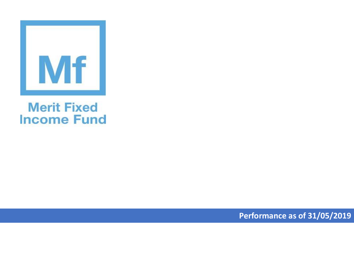

## **Merit Fixed Income Fund**

**Performance as of 31/05/2019**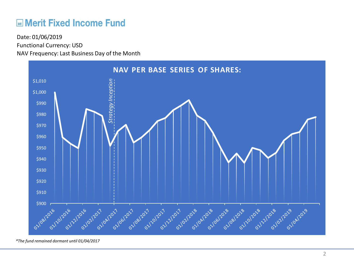## **ME Merit Fixed Income Fund**

Functional Currency: USD NAV Frequency: Last Business Day of the Month